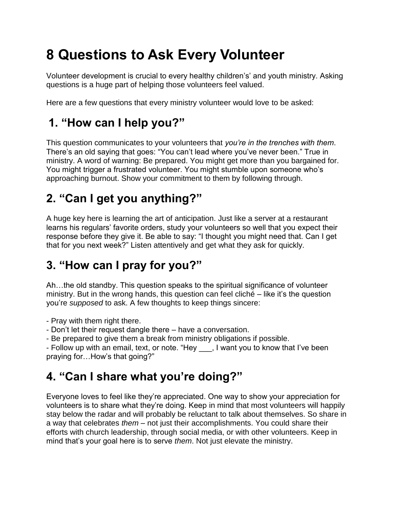# **8 Questions to Ask Every Volunteer**

Volunteer development is crucial to every healthy children's' and youth ministry. Asking questions is a huge part of helping those volunteers feel valued.

Here are a few questions that every ministry volunteer would love to be asked:

#### **1. "How can I help you?"**

This question communicates to your volunteers that *you're in the trenches with them*. There's an old saying that goes: "You can't lead where you've never been." True in ministry. A word of warning: Be prepared. You might get more than you bargained for. You might trigger a frustrated volunteer. You might stumble upon someone who's approaching burnout. Show your commitment to them by following through.

## **2. "Can I get you anything?"**

A huge key here is learning the art of anticipation. Just like a server at a restaurant learns his regulars' favorite orders, study your volunteers so well that you expect their response before they give it. Be able to say: "I thought you might need that. Can I get that for you next week?" Listen attentively and get what they ask for quickly.

### **3. "How can I pray for you?"**

Ah…the old standby. This question speaks to the spiritual significance of volunteer ministry. But in the wrong hands, this question can feel cliché – like it's the question you're *supposed* to ask. A few thoughts to keep things sincere:

- Pray with them right there.

- Don't let their request dangle there have a conversation.
- Be prepared to give them a break from ministry obligations if possible.

- Follow up with an email, text, or note. "Hey \_\_\_, I want you to know that I've been praying for…How's that going?"

### **4. "Can I share what you're doing?"**

Everyone loves to feel like they're appreciated. One way to show your appreciation for volunteers is to share what they're doing. Keep in mind that most volunteers will happily stay below the radar and will probably be reluctant to talk about themselves. So share in a way that celebrates *them* – not just their accomplishments. You could share their efforts with church leadership, through social media, or with other volunteers. Keep in mind that's your goal here is to serve *them*. Not just elevate the ministry.